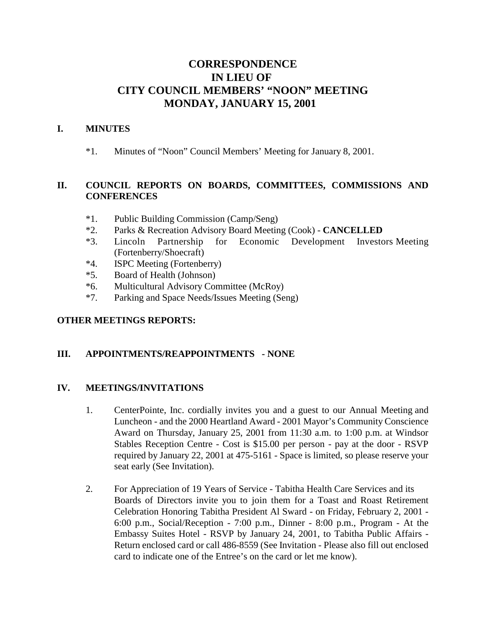# **CORRESPONDENCE IN LIEU OF CITY COUNCIL MEMBERS' "NOON" MEETING MONDAY, JANUARY 15, 2001**

#### **I. MINUTES**

\*1. Minutes of "Noon" Council Members' Meeting for January 8, 2001.

## **II. COUNCIL REPORTS ON BOARDS, COMMITTEES, COMMISSIONS AND CONFERENCES**

- \*1. Public Building Commission (Camp/Seng)
- \*2. Parks & Recreation Advisory Board Meeting (Cook) **CANCELLED**
- \*3. Lincoln Partnership for Economic Development Investors Meeting (Fortenberry/Shoecraft)
- \*4. ISPC Meeting (Fortenberry)
- \*5. Board of Health (Johnson)
- \*6. Multicultural Advisory Committee (McRoy)
- \*7. Parking and Space Needs/Issues Meeting (Seng)

## **OTHER MEETINGS REPORTS:**

## **III. APPOINTMENTS/REAPPOINTMENTS - NONE**

## **IV. MEETINGS/INVITATIONS**

- 1. CenterPointe, Inc. cordially invites you and a guest to our Annual Meeting and Luncheon - and the 2000 Heartland Award - 2001 Mayor's Community Conscience Award on Thursday, January 25, 2001 from 11:30 a.m. to 1:00 p.m. at Windsor Stables Reception Centre - Cost is \$15.00 per person - pay at the door - RSVP required by January 22, 2001 at 475-5161 - Space is limited, so please reserve your seat early (See Invitation).
- 2. For Appreciation of 19 Years of Service Tabitha Health Care Services and its Boards of Directors invite you to join them for a Toast and Roast Retirement Celebration Honoring Tabitha President Al Sward - on Friday, February 2, 2001 - 6:00 p.m., Social/Reception - 7:00 p.m., Dinner - 8:00 p.m., Program - At the Embassy Suites Hotel - RSVP by January 24, 2001, to Tabitha Public Affairs - Return enclosed card or call 486-8559 (See Invitation - Please also fill out enclosed card to indicate one of the Entree's on the card or let me know).